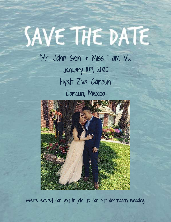# SAVE THE DATE

Mr. John Sen & Miss Tam Vu January 10th, 2020 Hyatt Ziva Cancun Cancun, Mexico



We're excited for you to join us for our destination wedding!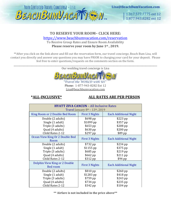

# **TO RESERVE YOUR ROOM– CLICK HERE:**

<https://www.beachbumvacation.com/reservation>

To Receive Group Rates and Ensure Room Availability **Please reserve your room by June 1st , 2019.**

\*\*After you click on the link above and fill out the reservation form, our travel concierge, Beach Bum Lisa, will contact you directly and answer any questions you may have PRIOR to charging your card for your deposit. Please feel free to enter questions/requests on the comments section on the form.

\_\_\_\_\_\_\_\_\_\_\_\_\_\_\_\_\_\_\_\_\_\_\_\_\_\_\_\_\_\_\_\_\_\_\_\_\_\_\_\_\_\_\_\_\_\_\_\_\_\_\_\_\_\_\_\_\_\_\_\_\_\_\_\_\_\_\_\_\_\_\_\_\_\_\_\_\_\_\_\_\_\_\_\_\_\_\_\_\_\_\_\_\_\_\_\_\_\_\_\_\_\_\_\_\_\_\_\_\_\_\_\_\_\_\_\_\_\_\_\_\_\_\_\_\_\_ Our wedding travel concierge is Lisa



Travel the WORLD with US' Phone: 1-877-943-8282 Ext 12 Lisa@beachbumvacation.com

#### **\*ALL-INCLUSIVE\* ALL RATES ARE PER PERSON**

| <b>HYATT ZIVA CANCUN - All Inclusive Rates</b><br>Travel January $8th - 13th$ , 2019 |                |                              |
|--------------------------------------------------------------------------------------|----------------|------------------------------|
| King Room or 2 Double Bed Room                                                       | First 3 Nights | <b>Each Additional Night</b> |
| Double (2 adults)                                                                    | $$698$ pp      | $$223$ pp                    |
| Single (1 adult)                                                                     | $$1099$ pp     | \$357 pp                     |
| Triple (3 adults)                                                                    | $$653$ pp      | $$208$ pp                    |
| Quad (4 adults)                                                                      | \$630 pp       | $$200$ pp                    |
| Child Rates 2-12                                                                     | $$297$ pp      | \$89 pp                      |
| Ocean View King Or 2 Double Bed<br>Room                                              | First 3 Nights | <b>Each Additional Night</b> |
| Double (2 adults)                                                                    | \$732 pp       | $$234$ pp                    |
| Single (1 adult)                                                                     | $$1155$ pp     | $$375$ pp                    |
| Triple (3 adults)                                                                    | $$685$ pp      | $$219$ pp                    |
| Quad (4 adults)                                                                      | $$662$ pp      | $$211$ pp                    |
| Child Rates 2-12                                                                     | \$312 pp       | \$94 pp                      |
| Dolphin View King or 2 Double<br><b>Bed room</b>                                     | First 3 Nights | <b>Each Additional Night</b> |
| Double (2 adults)                                                                    | $$810$ pp      | $$260$ pp                    |
| Single (1 adult)                                                                     | \$1283 pp      | $$418$ pp                    |
| Triple (3 adults)                                                                    | \$759 pp       | $$243$ pp                    |
| Quad (4 adults)                                                                      | $$734$ pp      | \$235 pp                     |
| Child Rates 2-12                                                                     | \$342 pp       | $$104$ pp                    |

**\*\* Airfare is not included in the price above\*\***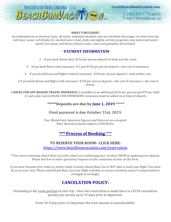

Lisa@BeachBumVacation.com

1.317.577.7775 ext 12 1.877.943.8282 ext 12

#### **WHAT'S INCLUDED?**

Accommodations as selected, taxes, all meals, unlimited alcoholic and non-alcoholic beverages, in-room mini-bar with beer, water, soft drinks (re-stocked once a day), daily and nightly activity programs, non-motorized water sports, live music and shows, fitness center, taxes and gratuities all included.

#### \* **PAYMENT INFORMATION**

- $\triangleright$  If you book Room Only: \$150 per person deposit to book just the room.
- $\triangleright$  If you book Room with insurance: It's just \$150 per person deposit + the cost of insurance.
- $\triangleright$  If you book Room and flights without insurance: \$150 per person deposit + total airfare cost.

 $\triangleright$  If you book Room and flights with insurance: \$150 per person deposit + the cost of insurance + the cost of airfare.

**CANCEL FOR ANY REASON TRAVEL INSURANCE** is available at an additional \$129 per person and \$79 per child 12 and under and is HIGHLY RECOMMENDED. Insurance must be added on at time of deposit.

#### **\*\*\*\*\*Deposits are due by June 1, 2019 \*\*\*\*\***

#### **Final payment is due October 31st, 2019.**

Visa, MasterCard, American Express and Discover are accepted. Note: Returned checks subject to \$30.00 fee.

### **\*\*\* Process of Booking** \*\*\*

#### **TO RESERVE YOUR ROOM– CLICK HERE:**  <https://www.beachbumvacation.com/reservation>

\*\*Our travel concierge, Beach Bum Lisa will contact you confirming your vacation PRIOR to applying your deposit. Please feel free to enter questions/requests on the comments section on the form.

If you have frequent flyer miles or airline credit vouchers Beach Bum Lisa is NOT able to book your flight. You must do so on your own. Please email Beach Bum Lisa your flight schedule to ensure roundtrip airport transportation is arranged accordingly.

## **CANCELATION POLICY:**

Pertaining to the room portion of your trip - Once the reservation is made there is a \$150 cancelation penalty per person up to 55 days prior to departure.

From 54-0 days prior to departure the total amount is nonrefundable.